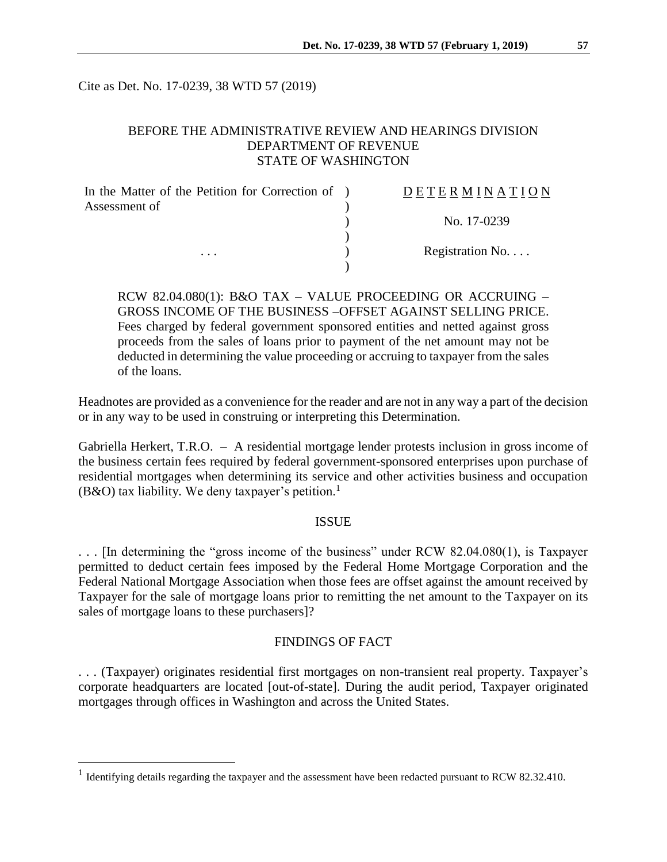Cite as Det. No. 17-0239, 38 WTD 57 (2019)

# BEFORE THE ADMINISTRATIVE REVIEW AND HEARINGS DIVISION DEPARTMENT OF REVENUE STATE OF WASHINGTON

| In the Matter of the Petition for Correction of ) | DETERMINATION   |
|---------------------------------------------------|-----------------|
| Assessment of                                     |                 |
|                                                   | No. 17-0239     |
|                                                   | Registration No |
| $\cdots$                                          |                 |

RCW 82.04.080(1): B&O TAX – VALUE PROCEEDING OR ACCRUING – GROSS INCOME OF THE BUSINESS –OFFSET AGAINST SELLING PRICE. Fees charged by federal government sponsored entities and netted against gross proceeds from the sales of loans prior to payment of the net amount may not be deducted in determining the value proceeding or accruing to taxpayer from the sales of the loans.

Headnotes are provided as a convenience for the reader and are not in any way a part of the decision or in any way to be used in construing or interpreting this Determination.

Gabriella Herkert, T.R.O. – A residential mortgage lender protests inclusion in gross income of the business certain fees required by federal government-sponsored enterprises upon purchase of residential mortgages when determining its service and other activities business and occupation (B&O) tax liability. We deny taxpayer's petition.<sup>1</sup>

### **ISSUE**

. . . [In determining the "gross income of the business" under RCW 82.04.080(1), is Taxpayer permitted to deduct certain fees imposed by the Federal Home Mortgage Corporation and the Federal National Mortgage Association when those fees are offset against the amount received by Taxpayer for the sale of mortgage loans prior to remitting the net amount to the Taxpayer on its sales of mortgage loans to these purchasers]?

### FINDINGS OF FACT

. . . (Taxpayer) originates residential first mortgages on non-transient real property. Taxpayer's corporate headquarters are located [out-of-state]. During the audit period, Taxpayer originated mortgages through offices in Washington and across the United States.

 $\overline{a}$ 

<sup>&</sup>lt;sup>1</sup> Identifying details regarding the taxpayer and the assessment have been redacted pursuant to RCW 82.32.410.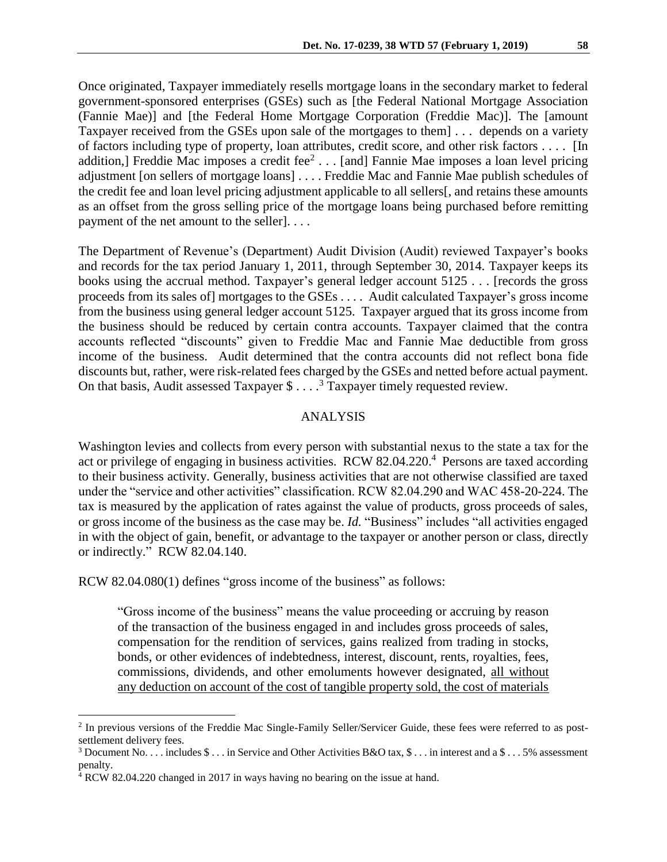Once originated, Taxpayer immediately resells mortgage loans in the secondary market to federal government-sponsored enterprises (GSEs) such as [the Federal National Mortgage Association (Fannie Mae)] and [the Federal Home Mortgage Corporation (Freddie Mac)]. The [amount Taxpayer received from the GSEs upon sale of the mortgages to them] . . . depends on a variety of factors including type of property, loan attributes, credit score, and other risk factors . . . . [In addition,] Freddie Mac imposes a credit fee $2 \ldots$  [and] Fannie Mae imposes a loan level pricing adjustment [on sellers of mortgage loans] . . . . Freddie Mac and Fannie Mae publish schedules of the credit fee and loan level pricing adjustment applicable to all sellers[, and retains these amounts as an offset from the gross selling price of the mortgage loans being purchased before remitting payment of the net amount to the seller]. . . .

The Department of Revenue's (Department) Audit Division (Audit) reviewed Taxpayer's books and records for the tax period January 1, 2011, through September 30, 2014. Taxpayer keeps its books using the accrual method. Taxpayer's general ledger account 5125 . . . [records the gross proceeds from its sales of] mortgages to the GSEs . . . . Audit calculated Taxpayer's gross income from the business using general ledger account 5125. Taxpayer argued that its gross income from the business should be reduced by certain contra accounts. Taxpayer claimed that the contra accounts reflected "discounts" given to Freddie Mac and Fannie Mae deductible from gross income of the business. Audit determined that the contra accounts did not reflect bona fide discounts but, rather, were risk-related fees charged by the GSEs and netted before actual payment. On that basis, Audit assessed Taxpayer  $$...$ <sup>3</sup> Taxpayer timely requested review.

# ANALYSIS

Washington levies and collects from every person with substantial nexus to the state a tax for the act or privilege of engaging in business activities. RCW 82.04.220.<sup>4</sup> Persons are taxed according to their business activity. Generally, business activities that are not otherwise classified are taxed under the "service and other activities" classification. RCW 82.04.290 and WAC 458-20-224. The tax is measured by the application of rates against the value of products, gross proceeds of sales, or gross income of the business as the case may be. *Id.* "Business" includes "all activities engaged in with the object of gain, benefit, or advantage to the taxpayer or another person or class, directly or indirectly." RCW 82.04.140.

RCW 82.04.080(1) defines "gross income of the business" as follows:

"Gross income of the business" means the value proceeding or accruing by reason of the transaction of the business engaged in and includes gross proceeds of sales, compensation for the rendition of services, gains realized from trading in stocks, bonds, or other evidences of indebtedness, interest, discount, rents, royalties, fees, commissions, dividends, and other emoluments however designated, all without any deduction on account of the cost of tangible property sold, the cost of materials

 $\overline{a}$ 

<sup>&</sup>lt;sup>2</sup> In previous versions of the Freddie Mac Single-Family Seller/Servicer Guide, these fees were referred to as postsettlement delivery fees.

<sup>&</sup>lt;sup>3</sup> Document No. . . . includes  $\frac{1}{2}$  . . . in Service and Other Activities B&O tax,  $\frac{1}{2}$  . . . in interest and a  $\frac{1}{2}$  . . . 5% assessment penalty.

<sup>&</sup>lt;sup>4</sup> RCW 82.04.220 changed in 2017 in ways having no bearing on the issue at hand.